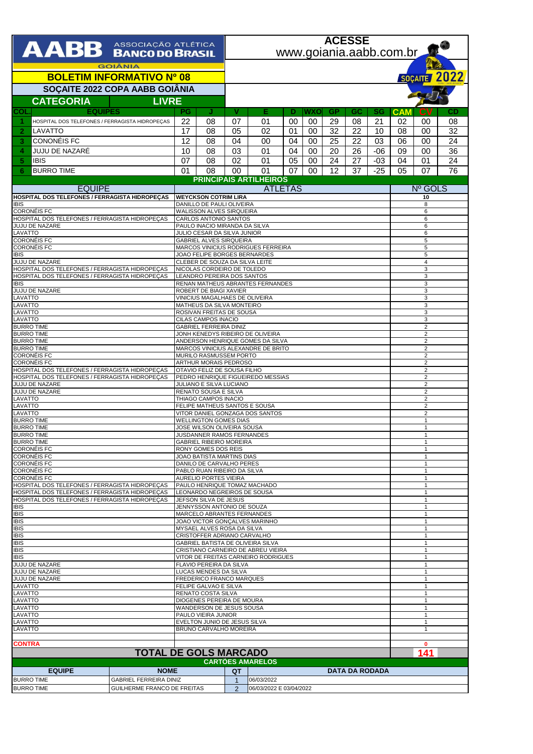|                                                                                                  |                                                                  |                                                               |                                                                                                            | <b>ACESSE</b>                    |                                       |                     |           |                 |          |                       |                              |                 |                |  |  |
|--------------------------------------------------------------------------------------------------|------------------------------------------------------------------|---------------------------------------------------------------|------------------------------------------------------------------------------------------------------------|----------------------------------|---------------------------------------|---------------------|-----------|-----------------|----------|-----------------------|------------------------------|-----------------|----------------|--|--|
| AABB ASSOCIAÇÃO ATLÉTICA                                                                         |                                                                  |                                                               |                                                                                                            | www.goiania.aabb.com.br          |                                       |                     |           |                 |          |                       |                              |                 |                |  |  |
| <b>GOIÂNIA</b>                                                                                   |                                                                  |                                                               |                                                                                                            |                                  |                                       |                     |           |                 |          |                       |                              |                 |                |  |  |
| <b>BOLETIM INFORMATIVO Nº 08</b>                                                                 |                                                                  |                                                               |                                                                                                            |                                  |                                       |                     |           |                 |          |                       |                              |                 | SOÇAITE 2022   |  |  |
| SOÇAITE 2022 COPA AABB GOIÂNIA                                                                   |                                                                  |                                                               |                                                                                                            |                                  |                                       |                     |           |                 |          |                       |                              |                 |                |  |  |
| <b>CATEGORIA</b>                                                                                 | <b>LIVRE</b>                                                     |                                                               |                                                                                                            |                                  |                                       |                     |           |                 |          |                       |                              |                 |                |  |  |
| COL<br>-1                                                                                        | <b>EQUIPES</b><br>HOSPITAL DOS TELEFONES / FERRAGISTA HIDROPEÇAS | PG<br>22                                                      | J<br>08                                                                                                    | v<br>07                          | Е<br>01                               | D<br>00             | wxo<br>00 | <b>GP</b><br>29 | GC<br>08 | SG<br>21              | <b>CAM</b><br>02             | CV<br>00        | CD<br>08       |  |  |
| $\mathbf{2}$<br>LAVATTO                                                                          |                                                                  | 17                                                            | 08                                                                                                         | 05                               | 02                                    | 01                  | 00        | 32              | 22       | 10                    | 08                           | 00              | 32             |  |  |
| <b>CONONEIS FC</b><br>3                                                                          |                                                                  | 12                                                            | 08                                                                                                         | 04                               | 00                                    | 04                  | 00        | 25              | 22       | 03                    | 06                           | 00              | 24             |  |  |
| JUJU DE NAZARÉ<br>4                                                                              |                                                                  | 10                                                            | 08                                                                                                         | 03                               | 01                                    | 04                  | 00        | 20              | 26       | $-06$                 | 09                           | 00              | 36             |  |  |
| <b>IBIS</b><br>5                                                                                 |                                                                  | 07                                                            | 08                                                                                                         | 02                               | 01                                    | 05                  | 00        | 24              | 27       | $-03$                 | 04                           | 01              | 24             |  |  |
| <b>BURRO TIME</b><br>6                                                                           |                                                                  | 01                                                            | 08                                                                                                         | 00                               | 01<br><b>PRINCIPAIS ARTILHEIROS</b>   | 07                  | $00\,$    | 12              | 37       | $-25$                 | 05                           | 07              | 76             |  |  |
| <b>EQUIPE</b>                                                                                    |                                                                  |                                                               |                                                                                                            |                                  |                                       | <b>ATLETAS</b>      |           |                 |          |                       |                              | Nº GOLS         |                |  |  |
| HOSPITAL DOS TELEFONES / FERRAGISTA HIDROPEÇAS<br><b>IBIS</b>                                    |                                                                  | <b>WEYCKSON COTRIM LIRA</b>                                   |                                                                                                            |                                  |                                       |                     |           |                 |          | 10<br>8               |                              |                 |                |  |  |
| <b>CORONÉIS FC</b>                                                                               |                                                                  | DANILLO DE PAULI OLIVEIRA<br><b>WALISSON ALVES SIRQUEIRA</b>  |                                                                                                            |                                  |                                       |                     |           |                 |          |                       | 6                            |                 |                |  |  |
| HOSPITAL DOS TELEFONES / FERRAGISTA HIDROPEÇAS<br><b>JUJU DE NAZARE</b>                          |                                                                  | <b>CARLOS ANTONIO SANTOS</b><br>PAULO INACIO MIRANDA DA SILVA |                                                                                                            |                                  |                                       |                     |           |                 |          | 6<br>6                |                              |                 |                |  |  |
| LAVATTO                                                                                          |                                                                  |                                                               | JULIO CESAR DA SILVA JUNIOR                                                                                |                                  |                                       |                     |           |                 |          |                       |                              | 6               |                |  |  |
| <b>CORONÉIS FC</b><br><b>CORONÉIS FC</b>                                                         | GABRIEL ALVES SIRQUEIRA                                          |                                                               |                                                                                                            |                                  | MARCOS VINICIUS RODRIGUES FERREIRA    |                     |           |                 |          |                       |                              |                 | 5<br>5         |  |  |
| <b>IBIS</b><br><b>JUJU DE NAZARE</b>                                                             |                                                                  |                                                               | JOAO FELIPE BORGES BERNARDES<br>CLEBER DE SOUZA DA SILVA LEITE                                             |                                  |                                       |                     |           |                 |          |                       |                              | 5<br>4          |                |  |  |
| HOSPITAL DOS TELEFONES / FERRAGISTA HIDROPEÇAS                                                   |                                                                  |                                                               | NICOLAS CORDEIRO DE TOLEDO                                                                                 |                                  |                                       |                     |           |                 |          |                       |                              | 3               |                |  |  |
| HOSPITAL DOS TELEFONES / FERRAGISTA HIDROPEÇAS<br><b>IBIS</b>                                    |                                                                  |                                                               | LEANDRO PEREIRA DOS SANTOS                                                                                 |                                  | RENAN MATHEUS ABRANTES FERNANDES      |                     |           |                 |          |                       |                              | 3<br>3          |                |  |  |
| JUJU DE NAZARE                                                                                   |                                                                  |                                                               | ROBERT DE BIAGI XAVIER<br>VINICIUS MAGALHAES DE OLIVEIRA                                                   |                                  |                                       |                     |           |                 |          |                       |                              |                 | 3<br>3         |  |  |
| LAVATTO<br>LAVATTO<br>MATHEUS DA SILVA MONTEIRO                                                  |                                                                  |                                                               |                                                                                                            |                                  |                                       | 3                   |           |                 |          |                       |                              |                 |                |  |  |
| LAVATTO<br>ROSIVAN FREITAS DE SOUSA<br>LAVATTO<br>CILAS CAMPOS INACIO                            |                                                                  |                                                               |                                                                                                            |                                  |                                       | 3<br>3              |           |                 |          |                       |                              |                 |                |  |  |
| <b>BURRO TIME</b><br>GABRIEL FERREIRA DINIZ                                                      |                                                                  |                                                               |                                                                                                            |                                  |                                       | 2<br>$\overline{2}$ |           |                 |          |                       |                              |                 |                |  |  |
| <b>BURRO TIME</b><br><b>BURRO TIME</b>                                                           |                                                                  |                                                               | JONH KENEDYS RIBEIRO DE OLIVEIRA<br>ANDERSON HENRIQUE GOMES DA SILVA<br>MARCOS VINICIUS ALEXANDRE DE BRITO |                                  |                                       |                     |           |                 |          |                       |                              |                 | $\overline{2}$ |  |  |
| <b>BURRO TIME</b><br><b>CORONÉIS FC</b>                                                          |                                                                  |                                                               | MURILO RASMUSSEM PORTO                                                                                     | $\overline{2}$<br>$\overline{2}$ |                                       |                     |           |                 |          |                       |                              |                 |                |  |  |
| <b>CORONÉIS FC</b>                                                                               |                                                                  |                                                               | ARTHUR MORAIS PEDROSO<br>OTAVIO FELIZ DE SOUSA FILHO                                                       | 2<br>2                           |                                       |                     |           |                 |          |                       |                              |                 |                |  |  |
| HOSPITAL DOS TELEFONES / FERRAGISTA HIDROPEÇAS<br>HOSPITAL DOS TELEFONES / FERRAGISTA HIDROPEÇAS |                                                                  |                                                               | PEDRO HENRIQUE FIGUEIREDO MESSIAS                                                                          | 2                                |                                       |                     |           |                 |          |                       |                              |                 |                |  |  |
| JUJU DE NAZARE<br>JUJU DE NAZARE                                                                 |                                                                  |                                                               | JULIANO E SILVA LUCIANO<br>RENATO SOUSA E SILVA                                                            | $\overline{2}$<br>2              |                                       |                     |           |                 |          |                       |                              |                 |                |  |  |
| LAVATTO                                                                                          |                                                                  |                                                               | THIAGO CAMPOS INACIO<br>FELIPE MATHEUS SANTOS E SOUSA                                                      | $\overline{2}$<br>$\overline{2}$ |                                       |                     |           |                 |          |                       |                              |                 |                |  |  |
| LAVATTO<br>LAVATTO                                                                               |                                                                  |                                                               | VITOR DANIEL GONZAGA DOS SANTOS                                                                            | 2                                |                                       |                     |           |                 |          |                       |                              |                 |                |  |  |
| <b>BURRO TIME</b><br><b>BURRO TIME</b>                                                           |                                                                  |                                                               | <b>WELLINGTON GOMES DIAS</b><br>JOSE WILSON OLIVEIRA SOUSA                                                 | $\mathbf 1$<br>1                 |                                       |                     |           |                 |          |                       |                              |                 |                |  |  |
| <b>BURRO TIME</b>                                                                                |                                                                  |                                                               | JUSDANNER RAMOS FERNANDES<br><b>GABRIEL RIBEIRO MOREIRA</b>                                                | $\mathbf 1$                      |                                       |                     |           |                 |          |                       |                              |                 |                |  |  |
| <b>BURRO TIME</b><br><b>CORONÉIS FC</b>                                                          |                                                                  |                                                               | RONY GOMES DOS REIS                                                                                        | 1                                |                                       |                     |           |                 |          |                       |                              |                 |                |  |  |
| <b>CORONÉIS FC</b><br><b>CORONÉIS FC</b>                                                         |                                                                  |                                                               | JOAO BATISTA MARTINS DIAS<br>DANILO DE CARVALHO PERES                                                      |                                  |                                       |                     |           |                 |          |                       |                              |                 | $\mathbf{1}$   |  |  |
| <b>CORONÉIS FC</b>                                                                               |                                                                  |                                                               | PABLO RUAN RIBEIRO DA SILVA<br><b>AURELIO PORTES VIEIRA</b>                                                |                                  |                                       |                     |           |                 |          |                       |                              |                 | 1              |  |  |
| <b>CORONÉIS FC</b><br>HOSPITAL DOS TELEFONES / FERRAGISTA HIDROPECAS                             |                                                                  |                                                               | PAULO HENRIQUE TOMAZ MACHADO                                                                               | $\mathbf{1}$<br>-1               |                                       |                     |           |                 |          |                       |                              |                 |                |  |  |
| HOSPITAL DOS TELEFONES / FERRAGISTA HIDROPECAS<br>HOSPITAL DOS TELEFONES / FERRAGISTA HIDROPECAS |                                                                  |                                                               | LEONARDO NEGREIROS DE SOUSA<br>JEFSON SILVA DE JESUS                                                       | $\mathbf{1}$<br>$\mathbf{1}$     |                                       |                     |           |                 |          |                       |                              |                 |                |  |  |
| <b>IBIS</b>                                                                                      |                                                                  |                                                               | JENNYSSON ANTONIO DE SOUZA                                                                                 | 1                                |                                       |                     |           |                 |          |                       |                              |                 |                |  |  |
| <b>IBIS</b><br><b>IBIS</b>                                                                       |                                                                  |                                                               | MARCELO ABRANTES FERNANDES<br>JOAO VICTOR GONÇALVES MARINHO                                                | $\mathbf{1}$<br>$\mathbf{1}$     |                                       |                     |           |                 |          |                       |                              |                 |                |  |  |
| <b>IBIS</b><br>IBIS                                                                              |                                                                  |                                                               | MYSAEL ALVES ROSA DA SILVA<br>CRISTOFFER ADRIANO CARVALHO                                                  | 1<br>$\mathbf{1}$                |                                       |                     |           |                 |          |                       |                              |                 |                |  |  |
| <b>IBIS</b>                                                                                      |                                                                  |                                                               | GABRIEL BATISTA DE OLIVEIRA SILVA                                                                          | 1                                |                                       |                     |           |                 |          |                       |                              |                 |                |  |  |
| <b>IBIS</b><br>IBIS                                                                              |                                                                  |                                                               | CRISTIANO CARNEIRO DE ABREU VIEIRA<br>VITOR DE FREITAS CARNEIRO RODRIGUES                                  | 1<br>1                           |                                       |                     |           |                 |          |                       |                              |                 |                |  |  |
| JUJU DE NAZARE<br>JUJU DE NAZARE                                                                 |                                                                  |                                                               | FLAVIO PEREIRA DA SILVA<br>LUCAS MENDES DA SILVA                                                           | $\mathbf 1$<br>1                 |                                       |                     |           |                 |          |                       |                              |                 |                |  |  |
| JUJU DE NAZARE                                                                                   |                                                                  |                                                               | FREDERICO FRANCO MARQUES                                                                                   |                                  |                                       |                     |           |                 |          |                       | $\mathbf{1}$                 |                 |                |  |  |
| LAVATTO<br>LAVATTO                                                                               |                                                                  |                                                               | FELIPE GALVAO E SILVA<br>RENATO COSTA SILVA                                                                |                                  |                                       |                     |           |                 |          |                       | $\mathbf 1$<br>$\mathbf{1}$  |                 |                |  |  |
| LAVATTO<br>LAVATTO                                                                               |                                                                  |                                                               | DIOGENES PEREIRA DE MOURA<br>WANDERSON DE JESUS SOUSA                                                      |                                  |                                       |                     |           |                 |          |                       | $\mathbf{1}$<br>1            |                 |                |  |  |
| LAVATTO                                                                                          |                                                                  |                                                               | PAULO VIEIRA JUNIOR                                                                                        |                                  |                                       |                     |           |                 |          |                       | $\mathbf{1}$                 |                 |                |  |  |
| LAVATTO<br>LAVATTO                                                                               |                                                                  |                                                               | EVELTON JUNIO DE JESUS SILVA<br><b>BRUNO CARVALHO MOREIRA</b>                                              |                                  |                                       |                     |           |                 |          |                       | $\mathbf{1}$<br>$\mathbf{1}$ |                 |                |  |  |
|                                                                                                  |                                                                  |                                                               |                                                                                                            |                                  |                                       |                     |           |                 |          |                       |                              |                 |                |  |  |
| <b>CONTRA</b>                                                                                    | <b>TOTAL DE GOLS MARCADO</b>                                     |                                                               |                                                                                                            |                                  |                                       |                     |           |                 |          |                       |                              | $\Omega$<br>141 |                |  |  |
|                                                                                                  |                                                                  |                                                               |                                                                                                            |                                  | <b>CARTÕES AMARELOS</b>               |                     |           |                 |          |                       |                              |                 |                |  |  |
| <b>EQUIPE</b>                                                                                    | <b>NOME</b><br><b>GABRIEL FERREIRA DINIZ</b>                     |                                                               |                                                                                                            |                                  |                                       |                     |           |                 |          | <b>DATA DA RODADA</b> |                              |                 |                |  |  |
| <b>BURRO TIME</b><br><b>BURRO TIME</b>                                                           | GUILHERME FRANCO DE FREITAS                                      |                                                               |                                                                                                            | $\mathbf{1}$<br>2                | 06/03/2022<br>06/03/2022 E 03/04/2022 |                     |           |                 |          |                       |                              |                 |                |  |  |
|                                                                                                  |                                                                  |                                                               |                                                                                                            |                                  |                                       |                     |           |                 |          |                       |                              |                 |                |  |  |